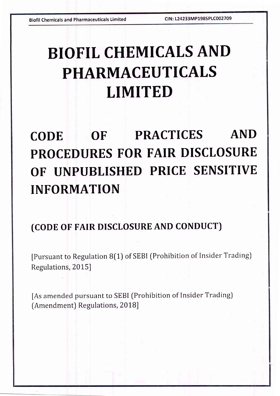# BIOFIL CHEMICALS AND PHARMACEUTICALS LIMITED

# CODE OF PRACTICES AND PROCEDURES FOR FAIR DISCLOSURE OF UNPUBLISHED PRICE SENSITIVE INFORMATION

## (coDE oF FAIR DISCLOSURE AND CONDUCT)

[Pursuant to Regulation B[1) of SEBI {Prohibition of Insider Trading] Regulations, 2015]

[As amended pursuant to SEBI (Prohibition of Insider Trading) [Amendment) Regulations, 2018]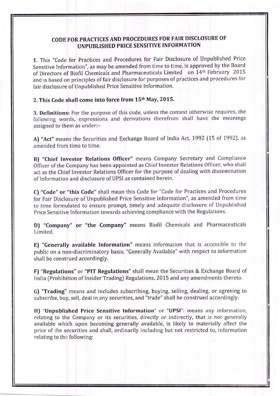#### CODE FOR PRACTICES AND PROCEDURES FOR FAIR DISCLOSURE OF UNPUBLISHED PRICE SENSITIVE INFORMATION

1. This "Code for Practices and Procedures for Fair Disclosure of Unpublished Price Sensitive Information", as may be amended from time to time, is approved by the Board of Directors of Biofil Chemicals and Pharmaceuticals Limited on 14th February 2015 and is based on principles of fair disclosure for purposes of practices and procedures for fair disclosure of Unpublished Price Sensitive Information.

#### 2. This Code shall come into force from 15th May, 2015.

3. Definitions: For the purpose of this code, unless the context otherwise requires, the following words, expressions and derivations therefrom shall have the meanings assigned to them as under:-

A) "Act" means the Securities and Exchange Board of India Act, 1992 (15 of 1992), as amended from time to time.

B) "Chief Investor Relations Officer" means Company Secretary and Compliance Officer of the Company has been appointed as ChieF lnvestor Relations Officer, who shall act as the Chief Investor Relations Officer for the purpose of dealing with dissemination of lnformation and disclosure of UPSI as contained herein'

C) "Code" or "this Code" shall mean this Code for "Code for Practices and F'rocedures for Fair Disclosure of Unpublished Price Sensitive Information", as amended from time to time formulated to ensure prompt, timely and adequate disclosure of Unpublished Price Sensitive Information towards achieving compliance with the Regulations.

D) "Company" or "the Company" means Biofil Chemicals and Pharmaceuticals Limited.

E) "Generally available Information" means information that is accessible to the public on a nen-discriminatory basis; "Generally Available" with respect to information shall be construed accordingly.

F) "Regulations" or "PIT Regulations" shall mean the Securities & Exchange Board of, India [Prohibition of Insider Trading) Regulations, 2015 and any amendments; thereto.

G) "Trading" means and includes subscribing, buying, selling, dealing, or agreeing to subscribe, buy, sell, deal in any securities, and "trade" shall be construed accondingly.

H) "Unpublished Price Sensitive Information" or "UPS|": means any information, relating to the Company or its securities, directly or indirectly, that is not generally available which upon becoming generally available, is likely to materially affect the price of the securities and shall, ordinarily including but not restricted to, information relating to the following: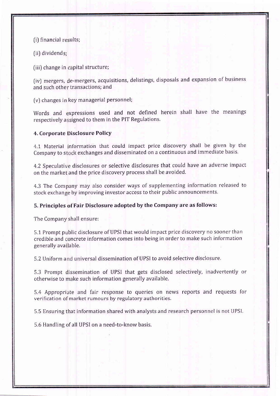(i) financial results;

(ii) dividends;

(iii) change in capital structure

(iv) mergers, de-mergers, acquisitions, delistings, disposals and expansion of business and such other transactions; and

(v) changes in key managerial personnel

Words and expressions used and not defined herein shall have the meanings respectively assigned to them in the PIT Regulations.

#### 4. Corporate Disclosure Policy

4.1 Material information that could impact price discovery shall be given by the Company to stock exchanges and disseminated on a continuous and immediate basis

4.2 Speculative disclosures or selective disclosures that could have an adverse impact on the market and the price discovery process shall be avoided

4.3 The Company may also consider ways of supplementing information released to stock exchange by improving investor access to their public announcements

#### 5. Principles of Fair Disclosure adopted by the Company are as follows:

The Company shall ensure:

5.1 Prompt public disclosure of UPSI that would impact price discovery no sooner thar credible and concrete information comes into being in order to make such information generally available.

5.2 Uniform and universal dissemination of UPSI to avoid selective disclosure

5.3 Prompt dissemination of UPSI that gets disclosed selectively, inadvertently or otherwise to make such information generally available.

5.4 Appropriate and fair response to queries on news reports and requests for verification of market rumours by regulatory authorities

5.5 Ensuring that information shared with analysts and research personnel is not UPSI

5.6 Handling of all UPSI on a need-to-know basis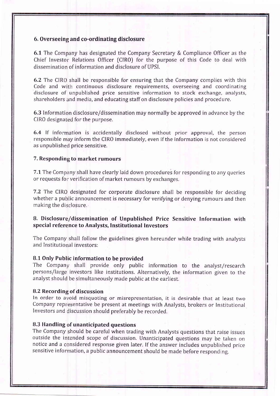#### 6. Overseeing and co-ordinating disclosure

6.1 The Company has designated the Company Secretary & Compliance Officer as the  $Chief$  Investor Relations Officer (CIRO) for the purpose of this Code to deal with dissemination of information and disclosure of UPSI.

6.2 The CIRO shall be responsible for ensuring that the Company complies with this Code and with continuous disclosure requirements, overseeing and coordinating disclosure of unpublished price sensitive information to stock exchange, analysts, shareholders and media, and educating staff on disclosure policies and procedure

 $\boldsymbol{6.3}$  Information disclosure/dissemination may normally be approved in advance by the CIRO designated for the purpose.

6.4 If information is accidentally disclosed without prior approval, the persor responsible may inform the CIRO immediately, even if the information is not considered as unpublished price sensitive

#### 7. Responding to market rumours

7.1 The Company shall have clearly laid down procedures for responding to any queries or requests for verification of market rumours by exchanges

7.2 The CIRO designated for corporate disclosure shall be responsible for deciding whether a public announcement is necessary for verifying or denying rumours and ther making the disclosure.

#### 8. Disclosure/dissemination of Unpublished Price Sensitive Information with special reference to Analysts, Institutional Investors

The Company shall follow the guidelines given hereunder while trading with analysts and Institutional investors:

#### 8.1 Only Public information to be provided

The Company shall provide only public information to the analyst/research persons/large investors like institutions. Alternatively, the information given to the analyst should be simultaneously made public at the earliest

#### 8.2 Recording of discussion

In order to avoid misquoting or misrepresentation, it is desirable that at least two Company representative be present at meetings with Analysts, brokers or Institutiona Investors and iscussion should preferably be recorded.

#### 8.3 Handling of unanticipated questions

outside the intended scope of discussion. Unanticipated questions may be taken on notice and a considered response given later. If the answer includes unpublished price sensitive information, a public announcement should be made before responding The Company should be careful when trading with Analysts questions that raise issues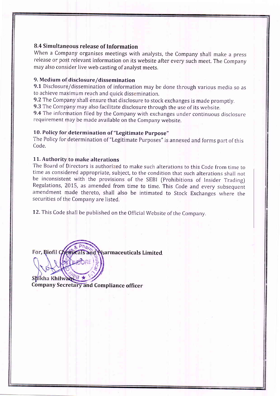#### 8.4 Simultaneous release of Information

When a Company organises meetings with analysts, the Company shall make a press release or post relevant information on its website after every such meet. The Company may also consider live web casting of analyst meets.

#### 9. Medium of disclosure/dissemination

9.1 Disclosure/dissemination of information may be done through various media so as to achieve mayimum reach and quick dissemination.

9.2 The Company shall ensure that disclosure to stock exchanges is made promptly.

9.3 The Company may also facilitate disclosure through the use of its website.

9.4 The information filed by the Company with exchanges under continuous disclosure requirement may be made available on the Company website.

#### 10, Policy for determination of "Legitimate purpose"

The Policy for determination of "Legitimate Purposes" is annexed and forms part of this Code.

#### 11. Authority to make alterations

The Board of Directors is authorized to make such alterations to this Code from time to time as considered appropriate, subject, to the condition that such alterations shall not be inconsistent with the provisions of the SEBI (Prohibitions of Insider Trading) Regulations, 2015, as amended from time to time, This Code and every subsequent amendment made thereto, shall also be intimated to Stock Exchanges where the securities of the Company are listed.

12. This Code shall be published on the Official Website of the Company.

For, Biofil Chemicals and Pharmaceuticals Limited. ,(D ri'

fugi Shikha Khilwan  $\sqrt{8}$  \* Company Secretary and Compliance officer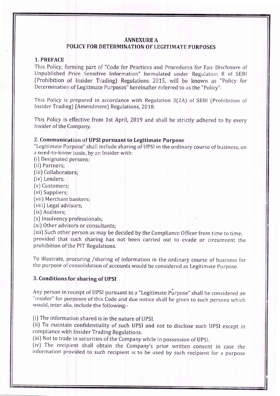#### **ANNEXURE A**

#### POLICY FOR DETERMINATION OF LEGITIMATE PURPOSES

#### 1.. PREFACE

This Policy, forming part of "Code for Practices and Procedures for Fair Disclosure of Unpublished Price Sensitive Information" formulated under Regulation 8 of SEB (Prohibition of Insider Trading) Regulations 2015, will be known as "Policy for Determination of Legitimate Purposes" hereinafter referred to as the "Policy".

This Policy is prepared in accordance with Regulation 3(2A) of SEBI (Prohibition of Insider Trading) (Amendment) Regulations, 2018

This Policy is effective from 1st April, 2019 and shall be strictly adhered to by every Insider of the Company

#### 2. Communication of UPSI pursuant to Legitimate Purpose

"Legitimate Purpose" shall include sharing of UPSI in the ordinary course of business, on a need-to-know basis, by an Insider with:

(i) Designated

- [ii) Partners;
- (iii) Collabora<mark>t</mark>ors;
- (ivJ Lenders;
- (v) Customers
- fvi) Suppliers;
- (vii) Merchant bankers;
- (viii) Legal ad' 'risors;
- (ixJ Auditors;

[x) Insolvency professionals;

[xiJ Other adv isors or consultants;

(xii) Such other person as may be decided by the Compliance Officer from time to time; provided that such sharing has not been carried out to evade or circumvent the prohibition of the PIT Regulations.

To illustrate, procuring /sharing of information in the ordinary course of business for the purpose of consolidation of accounts would be considered as Legitimate Purpose

#### 3. Conditions for sharing of UPSI

Any person in receipt of UPSI pursuant to a "Legitimate Purpose" shall be considered an "insider" for purposes of this Code and due notice shall be given to such persons which would, inter al ia, include the following:-

(i) The information shared is in the nature of UPSI

[ii) To mainta in confidentiality of such UPSI and not to disclose such upSI except in compliance wi th Insider Trading Regulations.

(iii) Not to trade in securities of the Company while in possession of UPSI

(iv) The recipient shall obtain the Company's prior written consent in case the information provided to such recipient is to be used by such recipient for a purpose